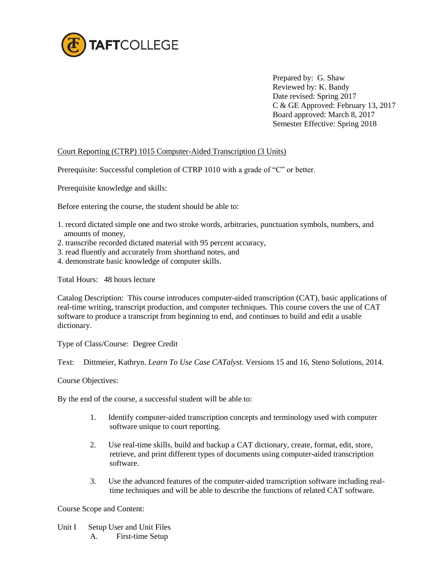

Prepared by: G. Shaw Reviewed by: K. Bandy Date revised: Spring 2017 C & GE Approved: February 13, 2017 Board approved: March 8, 2017 Semester Effective: Spring 2018

# Court Reporting (CTRP) 1015 Computer-Aided Transcription (3 Units)

Prerequisite: Successful completion of CTRP 1010 with a grade of "C" or better.

Prerequisite knowledge and skills:

Before entering the course, the student should be able to:

- 1. record dictated simple one and two stroke words, arbitraries, punctuation symbols, numbers, and amounts of money,
- 2. transcribe recorded dictated material with 95 percent accuracy,
- 3. read fluently and accurately from shorthand notes, and
- 4. demonstrate basic knowledge of computer skills.

Total Hours: 48 hours lecture

Catalog Description: This course introduces computer-aided transcription (CAT), basic applications of real-time writing, transcript production, and computer techniques. This course covers the use of CAT software to produce a transcript from beginning to end, and continues to build and edit a usable dictionary.

Type of Class/Course: Degree Credit

Text: Dittmeier, Kathryn. *Learn To Use Case CATalyst*. Versions 15 and 16, Steno Solutions, 2014.

Course Objectives:

By the end of the course, a successful student will be able to:

- 1. Identify computer-aided transcription concepts and terminology used with computer software unique to court reporting.
- 2. Use real-time skills, build and backup a CAT dictionary, create, format, edit, store, retrieve, and print different types of documents using computer-aided transcription software.
- 3. Use the advanced features of the computer-aided transcription software including realtime techniques and will be able to describe the functions of related CAT software.

Course Scope and Content:

- Unit I Setup User and Unit Files
	- A. First-time Setup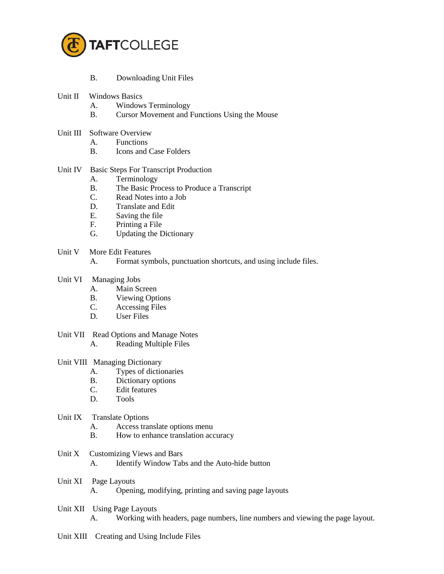

- B. Downloading Unit Files
- Unit II Windows Basics
	- A. Windows Terminology
	- B. Cursor Movement and Functions Using the Mouse
- Unit III Software Overview
	- A. Functions
	- B. Icons and Case Folders

## Unit IV Basic Steps For Transcript Production

- A. Terminology
- B. The Basic Process to Produce a Transcript
- C. Read Notes into a Job
- D. Translate and Edit
- E. Saving the file
- F. Printing a File
- G. Updating the Dictionary
- Unit V More Edit Features
	- A. Format symbols, punctuation shortcuts, and using include files.
- Unit VI Managing Jobs
	- A. Main Screen
	- B. Viewing Options
	- C. Accessing Files
	- D. User Files
- Unit VII Read Options and Manage Notes A. Reading Multiple Files

#### Unit VIII Managing Dictionary

- A. Types of dictionaries
- B. Dictionary options
- C. Edit features
- D. Tools
- Unit IX Translate Options
	- A. Access translate options menu
	- B. How to enhance translation accuracy
- Unit X Customizing Views and Bars A. Identify Window Tabs and the Auto-hide button
- Unit XI Page Layouts
	- A. Opening, modifying, printing and saving page layouts
- Unit XII Using Page Layouts
	- A. Working with headers, page numbers, line numbers and viewing the page layout.
- Unit XIII Creating and Using Include Files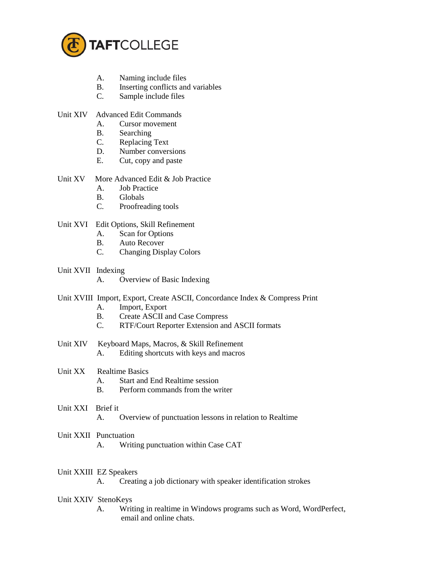

- A. Naming include files
- B. Inserting conflicts and variables
- C. Sample include files
- Unit XIV Advanced Edit Commands
	- A. Cursor movement
	- B. Searching
	- C. Replacing Text
	- D. Number conversions
	- E. Cut, copy and paste
- Unit XV More Advanced Edit & Job Practice
	- A. Job Practice
	- B. Globals
	- C. Proofreading tools
- Unit XVI Edit Options, Skill Refinement
	- A. Scan for Options
	- B. Auto Recover
	- C. Changing Display Colors
- Unit XVII Indexing
	- A. Overview of Basic Indexing
- Unit XVIII Import, Export, Create ASCII, Concordance Index & Compress Print
	- A. Import, Export
	- B. Create ASCII and Case Compress
	- C. RTF/Court Reporter Extension and ASCII formats
- Unit XIV Keyboard Maps, Macros, & Skill Refinement A. Editing shortcuts with keys and macros
- Unit XX Realtime Basics
	- A. Start and End Realtime session
	- B. Perform commands from the writer
- Unit XXI Brief it
	- A. Overview of punctuation lessons in relation to Realtime
- Unit XXII Punctuation
	- A. Writing punctuation within Case CAT
- Unit XXIII EZ Speakers
	- A. Creating a job dictionary with speaker identification strokes
- Unit XXIV StenoKeys
	- A. Writing in realtime in Windows programs such as Word, WordPerfect, email and online chats.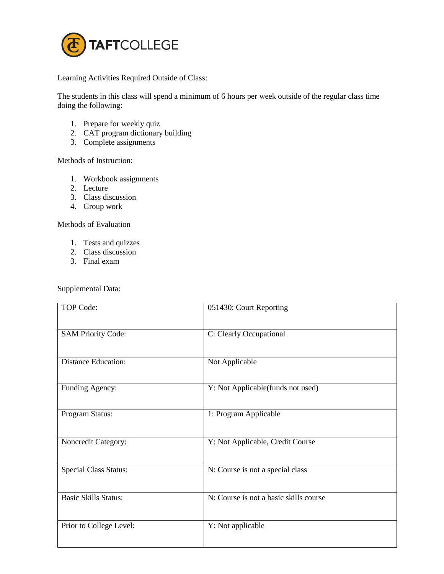

Learning Activities Required Outside of Class:

The students in this class will spend a minimum of 6 hours per week outside of the regular class time doing the following:

- 1. Prepare for weekly quiz
- 2. CAT program dictionary building
- 3. Complete assignments

# Methods of Instruction:

- 1. Workbook assignments
- 2. Lecture
- 3. Class discussion
- 4. Group work

#### Methods of Evaluation

- 1. Tests and quizzes
- 2. Class discussion
- 3. Final exam

### Supplemental Data:

| TOP Code:                    | 051430: Court Reporting                |
|------------------------------|----------------------------------------|
| <b>SAM Priority Code:</b>    | C: Clearly Occupational                |
| <b>Distance Education:</b>   | Not Applicable                         |
| Funding Agency:              | Y: Not Applicable(funds not used)      |
| Program Status:              | 1: Program Applicable                  |
| Noncredit Category:          | Y: Not Applicable, Credit Course       |
| <b>Special Class Status:</b> | N: Course is not a special class       |
| <b>Basic Skills Status:</b>  | N: Course is not a basic skills course |
| Prior to College Level:      | Y: Not applicable                      |
|                              |                                        |